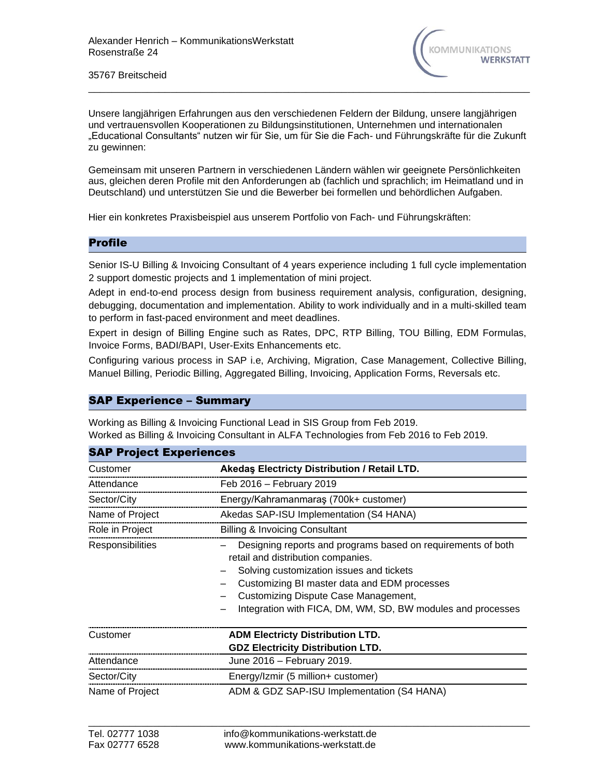

35767 Breitscheid

Unsere langjährigen Erfahrungen aus den verschiedenen Feldern der Bildung, unsere langjährigen und vertrauensvollen Kooperationen zu Bildungsinstitutionen, Unternehmen und internationalen "Educational Consultants" nutzen wir für Sie, um für Sie die Fach- und Führungskräfte für die Zukunft zu gewinnen:

\_\_\_\_\_\_\_\_\_\_\_\_\_\_\_\_\_\_\_\_\_\_\_\_\_\_\_\_\_\_\_\_\_\_\_\_\_\_\_\_\_\_\_\_\_\_\_\_\_\_\_\_\_\_\_\_\_\_\_\_\_\_\_\_\_\_\_\_\_\_\_\_\_\_\_

Gemeinsam mit unseren Partnern in verschiedenen Ländern wählen wir geeignete Persönlichkeiten aus, gleichen deren Profile mit den Anforderungen ab (fachlich und sprachlich; im Heimatland und in Deutschland) und unterstützen Sie und die Bewerber bei formellen und behördlichen Aufgaben.

Hier ein konkretes Praxisbeispiel aus unserem Portfolio von Fach- und Führungskräften:

## Profile

Senior IS-U Billing & Invoicing Consultant of 4 years experience including 1 full cycle implementation 2 support domestic projects and 1 implementation of mini project.

Adept in end-to-end process design from business requirement analysis, configuration, designing, debugging, documentation and implementation. Ability to work individually and in a multi-skilled team to perform in fast-paced environment and meet deadlines.

Expert in design of Billing Engine such as Rates, DPC, RTP Billing, TOU Billing, EDM Formulas, Invoice Forms, BADI/BAPI, User-Exits Enhancements etc.

Configuring various process in SAP i.e, Archiving, Migration, Case Management, Collective Billing, Manuel Billing, Periodic Billing, Aggregated Billing, Invoicing, Application Forms, Reversals etc.

## SAP Experience – Summary

Working as Billing & Invoicing Functional Lead in SIS Group from Feb 2019. Worked as Billing & Invoicing Consultant in ALFA Technologies from Feb 2016 to Feb 2019.

| <b>SAP Project Experiences</b> |                                                                                                                                                                                                                                                                                                       |  |
|--------------------------------|-------------------------------------------------------------------------------------------------------------------------------------------------------------------------------------------------------------------------------------------------------------------------------------------------------|--|
| Customer                       | Akedas Electricty Distribution / Retail LTD.                                                                                                                                                                                                                                                          |  |
| Attendance                     | Feb 2016 - February 2019                                                                                                                                                                                                                                                                              |  |
| Sector/City                    | Energy/Kahramanmaraş (700k+ customer)                                                                                                                                                                                                                                                                 |  |
| Name of Project                | Akedas SAP-ISU Implementation (S4 HANA)                                                                                                                                                                                                                                                               |  |
| Role in Project                | <b>Billing &amp; Invoicing Consultant</b>                                                                                                                                                                                                                                                             |  |
| <b>Responsibilities</b>        | Designing reports and programs based on requirements of both<br>retail and distribution companies.<br>Solving customization issues and tickets<br>Customizing BI master data and EDM processes<br>Customizing Dispute Case Management,<br>Integration with FICA, DM, WM, SD, BW modules and processes |  |
| Customer                       | <b>ADM Electricty Distribution LTD.</b>                                                                                                                                                                                                                                                               |  |
|                                | <b>GDZ Electricity Distribution LTD.</b>                                                                                                                                                                                                                                                              |  |
| Attendance                     | June 2016 - February 2019.                                                                                                                                                                                                                                                                            |  |
| Sector/City                    | Energy/Izmir (5 million+ customer)                                                                                                                                                                                                                                                                    |  |
| Name of Project                | ADM & GDZ SAP-ISU Implementation (S4 HANA)                                                                                                                                                                                                                                                            |  |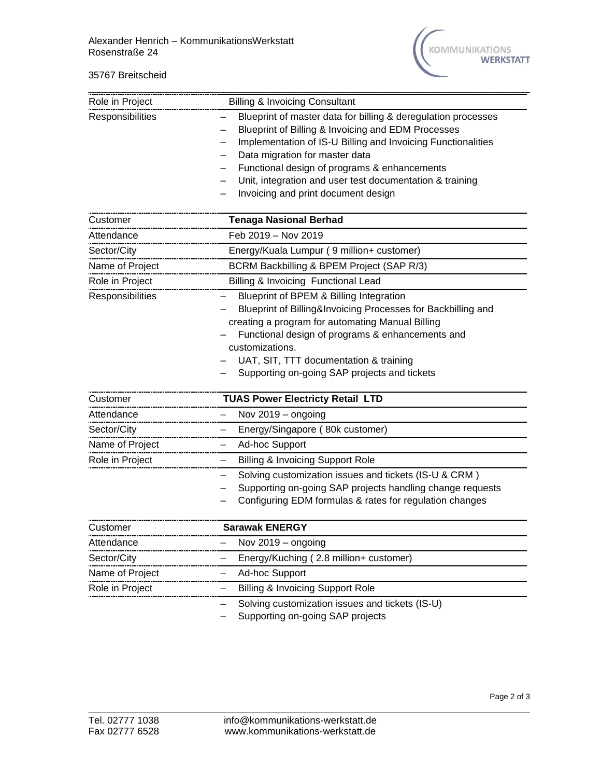## 35767 Breitscheid



| Role in Project  | <b>Billing &amp; Invoicing Consultant</b>                                                                                                                                                                                                                                                                                                                                |
|------------------|--------------------------------------------------------------------------------------------------------------------------------------------------------------------------------------------------------------------------------------------------------------------------------------------------------------------------------------------------------------------------|
| Responsibilities | Blueprint of master data for billing & deregulation processes<br>Blueprint of Billing & Invoicing and EDM Processes<br>Implementation of IS-U Billing and Invoicing Functionalities<br>Data migration for master data<br>Functional design of programs & enhancements<br>Unit, integration and user test documentation & training<br>Invoicing and print document design |
| Customer         | <b>Tenaga Nasional Berhad</b>                                                                                                                                                                                                                                                                                                                                            |
| Attendance       | Feb 2019 - Nov 2019                                                                                                                                                                                                                                                                                                                                                      |
| Sector/City      | Energy/Kuala Lumpur (9 million+ customer)                                                                                                                                                                                                                                                                                                                                |
| Name of Project  | BCRM Backbilling & BPEM Project (SAP R/3)                                                                                                                                                                                                                                                                                                                                |
| Role in Project  | Billing & Invoicing Functional Lead                                                                                                                                                                                                                                                                                                                                      |
| Responsibilities | Blueprint of BPEM & Billing Integration<br>Blueprint of Billing&Invoicing Processes for Backbilling and<br>creating a program for automating Manual Billing<br>Functional design of programs & enhancements and<br>customizations.<br>UAT, SIT, TTT documentation & training<br>Supporting on-going SAP projects and tickets                                             |
| Customer         | <b>TUAS Power Electricty Retail LTD</b>                                                                                                                                                                                                                                                                                                                                  |
| Attendance       | Nov 2019 - ongoing                                                                                                                                                                                                                                                                                                                                                       |
| Sector/City      | Energy/Singapore (80k customer)                                                                                                                                                                                                                                                                                                                                          |
| Name of Project  | Ad-hoc Support                                                                                                                                                                                                                                                                                                                                                           |
| Role in Project  | <b>Billing &amp; Invoicing Support Role</b>                                                                                                                                                                                                                                                                                                                              |
|                  | Solving customization issues and tickets (IS-U & CRM)<br>Supporting on-going SAP projects handling change requests<br>Configuring EDM formulas & rates for regulation changes                                                                                                                                                                                            |
| Customer         | <b>Sarawak ENERGY</b>                                                                                                                                                                                                                                                                                                                                                    |
| Attendance       | Nov 2019 - ongoing                                                                                                                                                                                                                                                                                                                                                       |
| Sector/City      | Energy/Kuching (2.8 million+ customer)                                                                                                                                                                                                                                                                                                                                   |
| Name of Project  | Ad-hoc Support<br>-                                                                                                                                                                                                                                                                                                                                                      |
| Role in Project  | <b>Billing &amp; Invoicing Support Role</b>                                                                                                                                                                                                                                                                                                                              |
|                  | Solving customization issues and tickets (IS-U)                                                                                                                                                                                                                                                                                                                          |

– Supporting on-going SAP projects